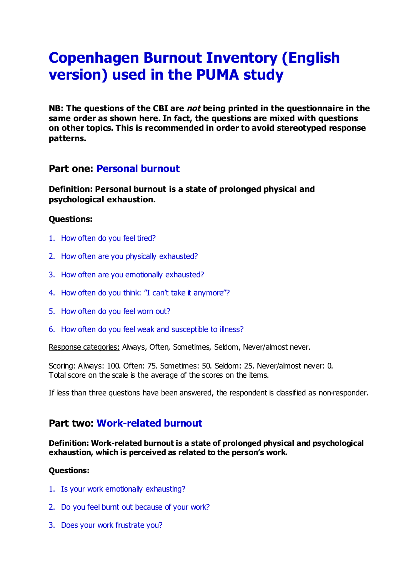# **Copenhagen Burnout Inventory (English version) used in the PUMA study**

**NB: The questions of the CBI are not being printed in the questionnaire in the same order as shown here. In fact, the questions are mixed with questions on other topics. This is recommended in order to avoid stereotyped response patterns.**

# **Part one: Personal burnout**

**Definition: Personal burnout is a state of prolonged physical and psychological exhaustion.**

## **Questions:**

- 1. How often do you feel tired?
- 2. How often are you physically exhausted?
- 3. How often are you emotionally exhausted?
- 4. How often do you think: "I can't take it anymore"?
- 5. How often do you feel worn out?
- 6. How often do you feel weak and susceptible to illness?

Response categories: Always, Often, Sometimes, Seldom, Never/almost never.

Scoring: Always: 100. Often: 75. Sometimes: 50. Seldom: 25. Never/almost never: 0. Total score on the scale is the average of the scores on the items.

If less than three questions have been answered, the respondent is classified as non-responder.

# **Part two: Work-related burnout**

#### **Definition: Work-related burnout is a state of prolonged physical and psychological exhaustion, which is perceived as related to the person's work.**

## **Questions:**

- 1. Is your work emotionally exhausting?
- 2. Do you feel burnt out because of your work?
- 3. Does your work frustrate you?